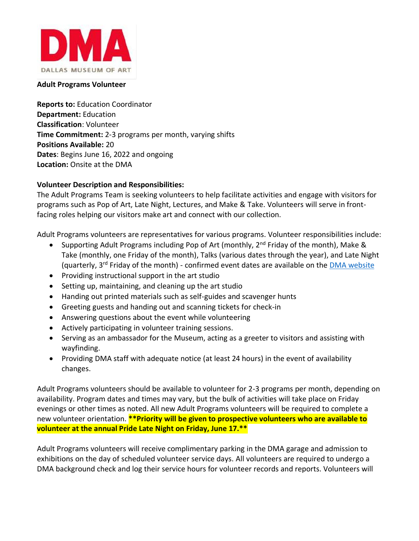

### **Adult Programs Volunteer**

**Reports to:** Education Coordinator **Department:** Education **Classification**: Volunteer **Time Commitment:** 2-3 programs per month, varying shifts **Positions Available:** 20 **Dates**: Begins June 16, 2022 and ongoing **Location:** Onsite at the DMA

## **Volunteer Description and Responsibilities:**

The Adult Programs Team is seeking volunteers to help facilitate activities and engage with visitors for programs such as Pop of Art, Late Night, Lectures, and Make & Take. Volunteers will serve in frontfacing roles helping our visitors make art and connect with our collection.

Adult Programs volunteers are representatives for various programs. Volunteer responsibilities include:

- Supporting Adult Programs including Pop of Art (monthly, 2<sup>nd</sup> Friday of the month), Make & Take (monthly, one Friday of the month), Talks (various dates through the year), and Late Night (quarterly, 3<sup>rd</sup> Friday of the month) - confirmed event dates are available on the [DMA website](https://dma.org/programs/adult-programs)
- Providing instructional support in the art studio
- Setting up, maintaining, and cleaning up the art studio
- Handing out printed materials such as self-guides and scavenger hunts
- Greeting guests and handing out and scanning tickets for check-in
- Answering questions about the event while volunteering
- Actively participating in volunteer training sessions.
- Serving as an ambassador for the Museum, acting as a greeter to visitors and assisting with wayfinding.
- Providing DMA staff with adequate notice (at least 24 hours) in the event of availability changes.

Adult Programs volunteers should be available to volunteer for 2-3 programs per month, depending on availability. Program dates and times may vary, but the bulk of activities will take place on Friday evenings or other times as noted. All new Adult Programs volunteers will be required to complete a new volunteer orientation. **\*\*Priority will be given to prospective volunteers who are available to volunteer at the annual Pride Late Night on Friday, June 17.\*\***

Adult Programs volunteers will receive complimentary parking in the DMA garage and admission to exhibitions on the day of scheduled volunteer service days. All volunteers are required to undergo a DMA background check and log their service hours for volunteer records and reports. Volunteers will